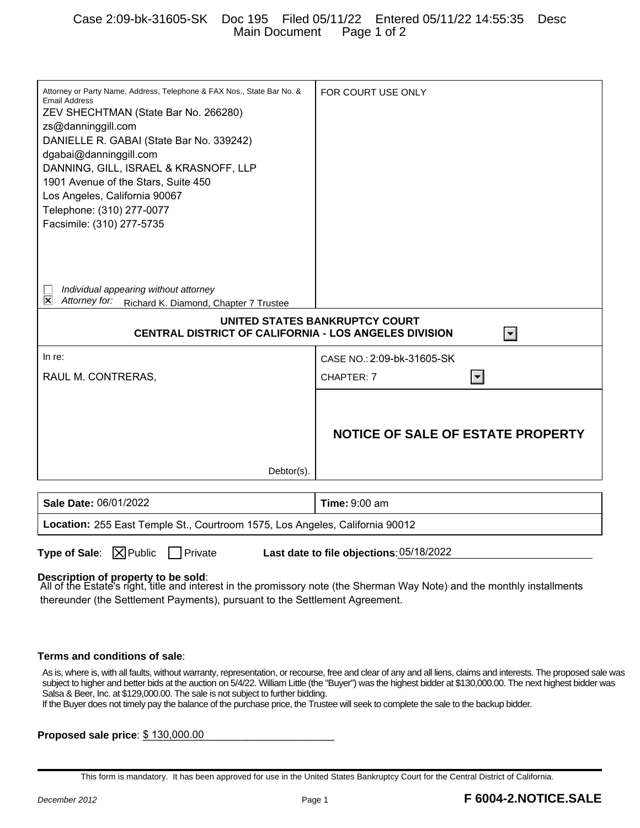## Case 2:09-bk-31605-SK Doc 195 Filed 05/11/22 Entered 05/11/22 14:55:35 Desc Main Document Page 1 of 2

| Attorney or Party Name, Address, Telephone & FAX Nos., State Bar No. &<br><b>Email Address</b> | FOR COURT USE ONLY                       |
|------------------------------------------------------------------------------------------------|------------------------------------------|
| ZEV SHECHTMAN (State Bar No. 266280)                                                           |                                          |
| zs@danninggill.com                                                                             |                                          |
| DANIELLE R. GABAI (State Bar No. 339242)                                                       |                                          |
| dgabai@danninggill.com                                                                         |                                          |
| DANNING, GILL, ISRAEL & KRASNOFF, LLP                                                          |                                          |
| 1901 Avenue of the Stars, Suite 450                                                            |                                          |
| Los Angeles, California 90067                                                                  |                                          |
| Telephone: (310) 277-0077                                                                      |                                          |
| Facsimile: (310) 277-5735                                                                      |                                          |
|                                                                                                |                                          |
|                                                                                                |                                          |
|                                                                                                |                                          |
|                                                                                                |                                          |
| Individual appearing without attorney                                                          |                                          |
| ⊠<br>Attorney for:<br>Richard K. Diamond, Chapter 7 Trustee                                    |                                          |
| UNITED STATES BANKRUPTCY COURT                                                                 |                                          |
| <b>CENTRAL DISTRICT OF CALIFORNIA - LOS ANGELES DIVISION</b><br>$\mathbf{r}$                   |                                          |
| In re:                                                                                         | CASE NO.: 2:09-bk-31605-SK               |
| RAUL M. CONTRERAS,                                                                             | CHAPTER: 7<br>$ \mathbf{v} $             |
|                                                                                                |                                          |
|                                                                                                |                                          |
|                                                                                                |                                          |
|                                                                                                | <b>NOTICE OF SALE OF ESTATE PROPERTY</b> |
|                                                                                                |                                          |
|                                                                                                |                                          |
| Debtor(s).                                                                                     |                                          |
|                                                                                                |                                          |
|                                                                                                |                                          |
| Sale Date: 06/01/2022                                                                          | <b>Time: 9:00 am</b>                     |

**Type of Sale:**  $\boxed{\times}$  Public  $\boxed{\phantom{1}}$  Private

Last date to file objections: 05/18/2022

**Description of property to be sold**:

All of the Estate's right, title and interest in the promissory note (the Sherman Way Note) and the monthly installments thereunder (the Settlement Payments), pursuant to the Settlement Agreement.

## **Terms and conditions of sale**:

As is, where is, with all faults, without warranty, representation, or recourse, free and clear of any and all liens, claims and interests. The proposed sale was subject to higher and better bids at the auction on 5/4/22. William Little (the "Buyer") was the highest bidder at \$130,000.00. The next highest bidder was Salsa & Beer, Inc. at \$129,000.00. The sale is not subject to further bidding.

If the Buyer does not timely pay the balance of the purchase price, the Trustee will seek to complete the sale to the backup bidder.

**Proposed sale price**:  $$130,000.00$ 

This form is mandatory. It has been approved for use in the United States Bankruptcy Court for the Central District of California.